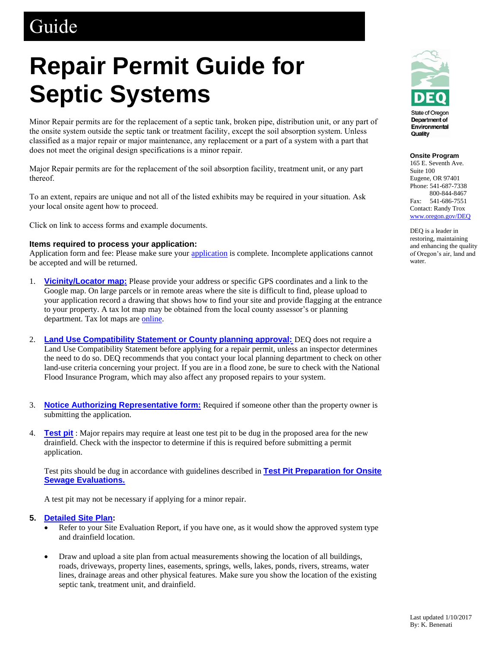# **Guide**

# **Repair Permit Guide for Septic Systems**

Minor Repair permits are for the replacement of a septic tank, broken pipe, distribution unit, or any part of the onsite system outside the septic tank or treatment facility, except the soil absorption system. Unless classified as a major repair or major maintenance, any replacement or a part of a system with a part that does not meet the original design specifications is a minor repair.

Major Repair permits are for the replacement of the soil absorption facility, treatment unit, or any part thereof.

To an extent, repairs are unique and not all of the listed exhibits may be required in your situation. Ask your local onsite agent how to proceed.

Click on link to access forms and example documents.

### **Items required to process your application:**

Application form and fee: Please make sure your [application](https://aca.oregon.accela.com/oregon/) is complete. Incomplete applications cannot be accepted and will be returned.

- 1. **[Vicinity/Locator map:](http://www.ormap.net/)** Please provide your address or specific GPS coordinates and a link to the Google map. On large parcels or in remote areas where the site is difficult to find, please upload to your application record a drawing that shows how to find your site and provide flagging at the entrance to your property. A tax lot map may be obtained from the local county assessor's or planning department. Tax lot maps are [online.](http://www.ormap.net/)
- 2. **[Land Use Compatibility Statement or County planning approval:](http://www.oregon.gov/deq/FilterDocs/onsitelucs.pdf)** DEQ does not require a Land Use Compatibility Statement before applying for a repair permit, unless an inspector determines the need to do so. DEQ recommends that you contact your local planning department to check on other land-use criteria concerning your project. If you are in a flood zone, be sure to check with the National Flood Insurance Program, which may also affect any proposed repairs to your system.
- 3. **[Notice Authorizing Representative form:](http://www.oregon.gov/deq/FilterDocs/os-AuthRep.pdf)** Required if someone other than the property owner is submitting the application.
- 4. **[Test pit](http://www.oregon.gov/deq/FilterDocs/os-testpitprep.pdf)** : Major repairs may require at least one test pit to be dug in the proposed area for the new drainfield. Check with the inspector to determine if this is required before submitting a permit application.

Test pits should be dug in accordance with guidelines described in **[Test Pit Preparation for Onsite](https://www.oregon.gov/deq/FilterDocs/os-testpitprep.pdf)  [Sewage Evaluations.](https://www.oregon.gov/deq/FilterDocs/os-testpitprep.pdf)** 

A test pit may not be necessary if applying for a minor repair.

# **5. [Detailed Site Plan:](http://www.oregon.gov/deq/FilterDocs/os-detsiteplan.pdf)**

- Refer to your Site Evaluation Report, if you have one, as it would show the approved system type and drainfield location.
- Draw and upload a site plan from actual measurements showing the location of all buildings, roads, driveways, property lines, easements, springs, wells, lakes, ponds, rivers, streams, water lines, drainage areas and other physical features. Make sure you show the location of the existing septic tank, treatment unit, and drainfield.



#### **Onsite Program**

165 E. Seventh Ave. Suite 100 Eugene, OR 97401 Phone: 541-687-7338 800-844-8467 Fax: 541-686-7551 Contact: Randy Trox [www.oregon.gov/DEQ](http://www.oregon.gov/DEQ)

DEQ is a leader in restoring, maintaining and enhancing the quality of Oregon's air, land and water.